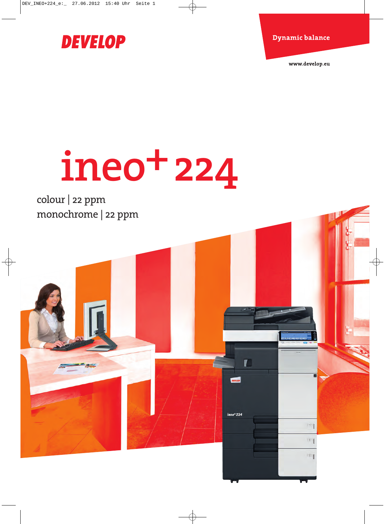

 $\blacksquare$ 

 $ineo+224$ 

www.develop.eu

m

 $\mathbb{Z}^{\times}$ 

 $3$ 

# **DEVELOP**

# **ineo+224**

colour | 22 ppm monochrome | 22 ppm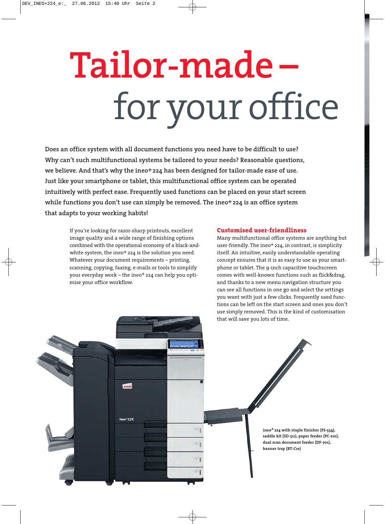# **Tailor-made –**  for your office

**Does an office system with all document functions you need have to be difficult to use? Why can't such multifunctional systems be tailored to your needs? Reasonable questions, we believe. And that's why the ineo+224 has been designed for tailor-made ease of use. Just like your smartphone or tablet, this multifunctional office system can be operated intuitively with perfect ease. Frequently used functions can be placed on your start screen while functions you don't use can simply be removed. The ineo+224 is an office system that adapts to your working habits!**

If you're looking for razor-sharp printouts, excellent image quality and a wide range of finishing options combined with the operational economy of a black-andwhite system, the ineo<sup>+</sup> 224 is the solution you need. Whatever your document requirements – printing, scanning, copying, faxing, e-mails or tools to simplify your everyday work - the ineo<sup>+</sup> 224 can help you optimise your office workflow.

#### **Customised user-friendliness**

Many multifunctional office systems are anything but user-friendly. The ineo<sup>+</sup> 224, in contrast, is simplicity itself. An intuitive, easily understandable operating concept ensures that it is as easy to use as your smartphone or tablet. The 9-inch capacitive touchscreen comes with well-known functions such as flick&drag, and thanks to a new menu navigation structure you can see all functions in one go and select the settings you want with just a few clicks. Frequently used functions can be left on the start screen and ones you don't use simply removed. This is the kind of customisation that will save you lots of time.

 $ineo+224$  $\overline{\mathbb{R}}$ **ineo+ 224 with staple finisher (FS-534), saddle kit (SD-511), paper feeder (PC-210), dual scan document feeder (DF-701),**  $\overline{2}$ **banner tray (BT-C1e)**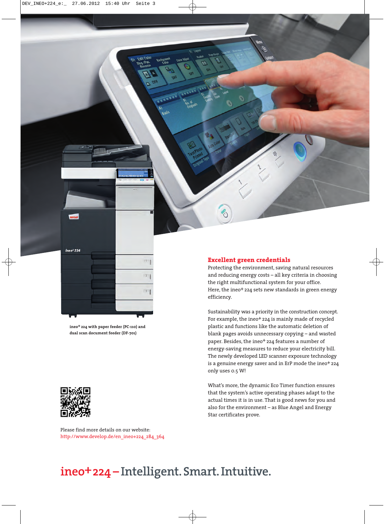

**ineo+ 224 with paper feeder (PC-110) and dual scan document feeder (DF-701)**



Please find more details on our website: http://www.develop.de/en\_ineo+224\_284\_364

#### **Excellent green credentials**

Protecting the environment, saving natural resources and reducing energy costs – all key criteria in choosing the right multifunctional system for your office. Here, the ineo<sup>+</sup> 224 sets new standards in green energy efficiency.

Sustainability was a priority in the construction concept. For example, the ineo<sup>+</sup> 224 is mainly made of recycled plastic and functions like the automatic deletion of blank pages avoids unnecessary copying – and wasted paper. Besides, the ineo+ 224 features a number of energy-saving measures to reduce your electricity bill. The newly developed LED scanner exposure technology is a genuine energy saver and in ErP mode the ineo+ 224 only uses 0.5 W!

What's more, the dynamic Eco Timer function ensures that the system's active operating phases adapt to the actual times it is in use. That is good news for you and also for the environment – as Blue Angel and Energy Star certificates prove.

# **ineo+224 – Intelligent. Smart. Intuitive.**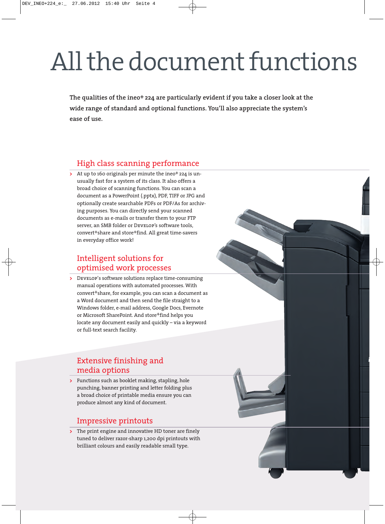# All the document functions

**The qualities of the ineo+ 224 are particularly evident if you take a closer look at the wide range of standard and optional functions. You'll also appreciate the system's ease of use.**

# High class scanning performance

**>** At up to 160 originals per minute the ineo+ 224 is un usually fast for a system of its class. It also offers a broad choice of scanning functions. You can scan a document as a PowerPoint (.pptx), PDF, TIFF or JPG and optionally create searchable PDFs or PDF/As for archiving purposes. You can directly send your scanned documents as e-mails or transfer them to your FTP server, an SMB folder or Develop's software tools, convert+share and store+find. All great time-savers in everyday office work!

# Intelligent solutions for optimised work processes

**>** Develop's software solutions replace time-consuming manual operations with automated processes. With convert+share, for example, you can scan a document as a Word document and then send the file straight to a Windows folder, e-mail address, Google Docs, Evernote or Microsoft SharePoint. And store+find helps you locate any document easily and quickly – via a keyword or full-text search facility.

# Extensive finishing and media options

**>** Functions such as booklet making, stapling, hole punching, banner printing and letter folding plus a broad choice of printable media ensure you can produce almost any kind of document.

## Impressive printouts

**>** The print engine and innovative HD toner are finely tuned to deliver razor-sharp 1,200 dpi printouts with brilliant colours and easily readable small type.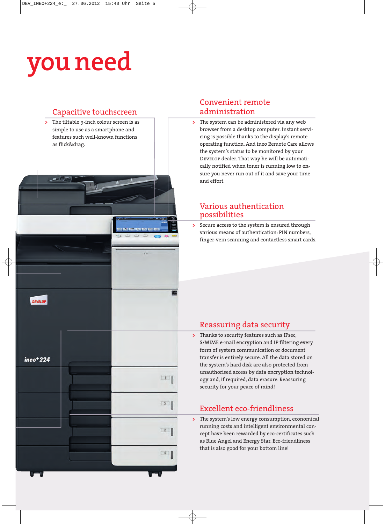# **you need**



### Convenient remote administration

**>** The system can be administered via any web browser from a desktop computer. Instant servicing is possible thanks to the display's remote operating function. And ineo Remote Care allows the system's status to be monitored by your DEVELOP dealer. That way he will be automatically notified when toner is running low to ensure you never run out of it and save your time and effort.

## Various authentication possibilities

**>** Secure access to the system is ensured through various means of authentication: PIN numbers, finger-vein scanning and contactless smart cards.

## Reassuring data security

**>** Thanks to security features such as IPsec, S/MIME e-mail encryption and IP filtering every form of system communication or document transfer is entirely secure. All the data stored on the system's hard disk are also protected from unauthorised access by data encryption technology and, if required, data erasure. Reassuring security for your peace of mind!

# Excellent eco-friendliness

**>** The system's low energy consumption, economical running costs and intelligent environmental concept have been rewarded by eco-certificates such as Blue Angel and Energy Star. Eco-friendliness that is also good for your bottom line!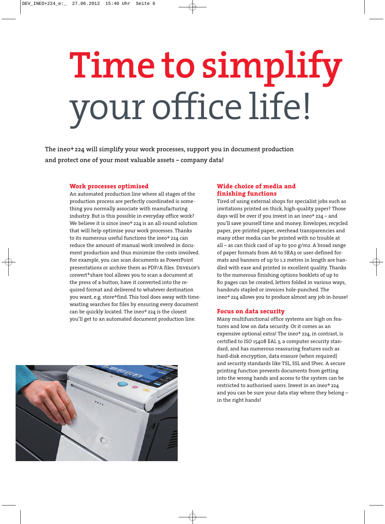# **Time to simplify**  your office life!

**The ineo+224 will simplify your work processes, support you in document production and protect one of your most valuable assets – company data!**

#### **Work processes optimised**

An automated production line where all stages of the production process are perfectly coordinated is something you normally associate with manufacturing industry. But is this possible in everyday office work? We believe it is since ineo<sup>+</sup> 224 is an all-round solution that will help optimise your work processes. Thanks to its numerous useful functions the ineo<sup>+</sup> 224 can reduce the amount of manual work involved in document production and thus minimise the costs involved. For example, you can scan documents as PowerPoint presentations or archive them as PDF/A files. DEVELOP's convert+share tool allows you to scan a document at the press of a button, have it converted into the required format and delivered to whatever destination you want, e.g. store+find. This tool does away with timewasting searches for files by ensuring every document can be quickly located. The ineo<sup>+</sup> 224 is the closest you'll get to an automated document production line.

#### **Wide choice of media and finishing functions**

Tired of using external shops for specialist jobs such as invitations printed on thick, high-quality paper? Those days will be over if you invest in an ineo+ 224 – and you'll save yourself time and money. Envelopes, recycled paper, pre-printed paper, overhead transparencies and many other media can be printed with no trouble at all – as can thick card of up to 300 g/m2. A broad range of paper formats from A6 to SRA3 or user-defined formats and banners of up to 1.2 metres in length are handled with ease and printed in excellent quality. Thanks to the numerous finishing options booklets of up to 80 pages can be created, letters folded in various ways, handouts stapled or invoices hole-punched. The ineo+ 224 allows you to produce almost any job in-house!

#### **Focus on data security**

Many multifunctional office systems are high on features and low on data security. Or it comes as an expensive optional extra! The ineo<sup>+</sup> 224, in contrast, is certified to ISO 15408 EAL 3, a computer security standard, and has numerous reassuring features such as hard-disk encryption, data erasure (when required) and security standards like TSL, SSL and IPsec. A secure printing function prevents documents from getting into the wrong hands and access to the system can be restricted to authorised users. Invest in an ineo+ 224 and you can be sure your data stay where they belong – in the right hands!

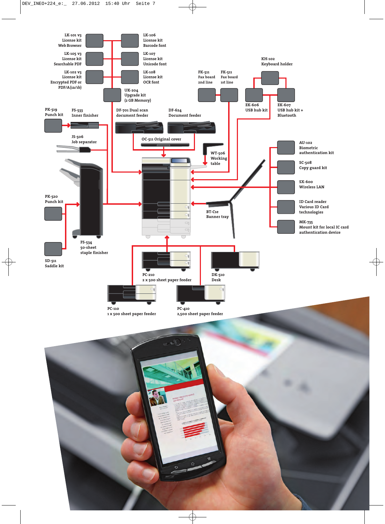